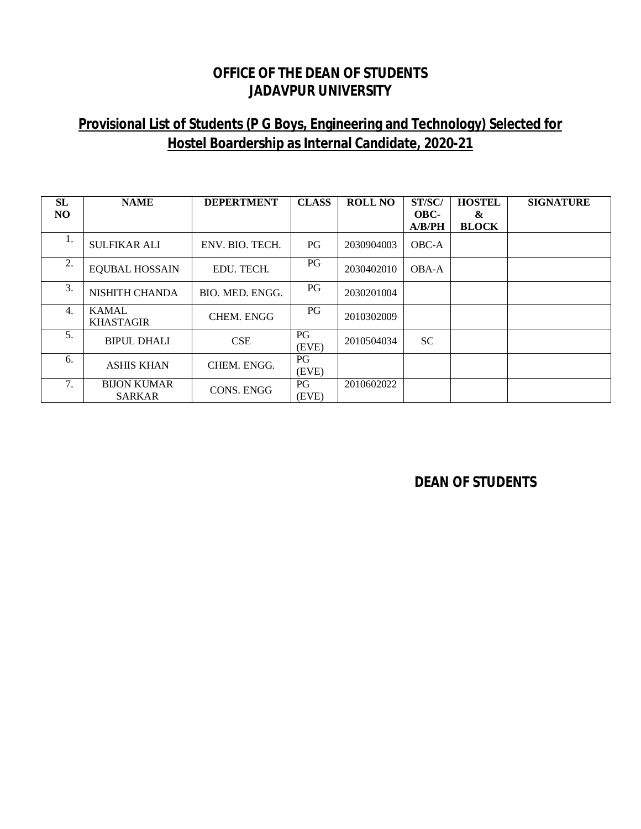#### **OFFICE OF THE DEAN OF STUDENTS JADAVPUR UNIVERSITY**

# **Provisional List of Students (P G Boys, Engineering and Technology) Selected for Hostel Boardership as Internal Candidate, 2020-21**

| <b>SL</b><br>N <sub>O</sub> | <b>NAME</b>                         | <b>DEPERTMENT</b> | <b>CLASS</b> | ROLL NO    | ST/SC/<br>OBC-<br>A/B/PH | <b>HOSTEL</b><br>&<br><b>BLOCK</b> | <b>SIGNATURE</b> |
|-----------------------------|-------------------------------------|-------------------|--------------|------------|--------------------------|------------------------------------|------------------|
| ī.                          | <b>SULFIKAR ALI</b>                 | ENV. BIO. TECH.   | PG           | 2030904003 | OBC-A                    |                                    |                  |
| 2.                          | <b>EQUBAL HOSSAIN</b>               | EDU. TECH.        | PG           | 2030402010 | <b>OBA-A</b>             |                                    |                  |
| 3.                          | NISHITH CHANDA                      | BIO. MED. ENGG.   | PG           | 2030201004 |                          |                                    |                  |
| 4.                          | <b>KAMAL</b><br><b>KHASTAGIR</b>    | <b>CHEM. ENGG</b> | PG           | 2010302009 |                          |                                    |                  |
| 5.                          | <b>BIPUL DHALI</b>                  | <b>CSE</b>        | PG<br>(EVE)  | 2010504034 | <b>SC</b>                |                                    |                  |
| 6.                          | <b>ASHIS KHAN</b>                   | CHEM. ENGG.       | PG<br>(EVE)  |            |                          |                                    |                  |
| 7.                          | <b>BIJON KUMAR</b><br><b>SARKAR</b> | <b>CONS. ENGG</b> | PG<br>(EVE)  | 2010602022 |                          |                                    |                  |

**DEAN OF STUDENTS**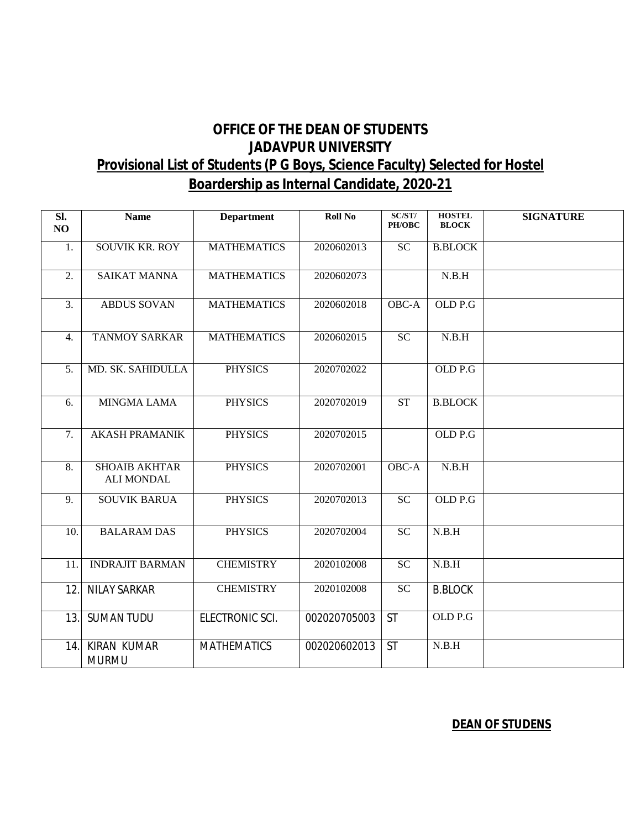### **OFFICE OF THE DEAN OF STUDENTS JADAVPUR UNIVERSITY Provisional List of Students (P G Boys, Science Faculty) Selected for Hostel Boardership as Internal Candidate, 2020-21**

| SI.<br>NO        | <b>Name</b>                               | <b>Department</b>  | <b>Roll No</b> | SC/ST/<br>PH/OBC | <b>HOSTEL</b><br><b>BLOCK</b> | <b>SIGNATURE</b> |
|------------------|-------------------------------------------|--------------------|----------------|------------------|-------------------------------|------------------|
| 1.               | <b>SOUVIK KR. ROY</b>                     | <b>MATHEMATICS</b> | 2020602013     | SC               | <b>B.BLOCK</b>                |                  |
| 2.               | <b>SAIKAT MANNA</b>                       | <b>MATHEMATICS</b> | 2020602073     |                  | N.B.H                         |                  |
| 3.               | <b>ABDUS SOVAN</b>                        | <b>MATHEMATICS</b> | 2020602018     | OBC-A            | OLD P.G                       |                  |
| 4.               | <b>TANMOY SARKAR</b>                      | <b>MATHEMATICS</b> | 2020602015     | $\overline{SC}$  | N.B.H                         |                  |
| $\overline{5}$ . | MD. SK. SAHIDULLA                         | <b>PHYSICS</b>     | 2020702022     |                  | OLD P.G                       |                  |
| 6.               | <b>MINGMA LAMA</b>                        | <b>PHYSICS</b>     | 2020702019     | <b>ST</b>        | <b>B.BLOCK</b>                |                  |
| 7.               | <b>AKASH PRAMANIK</b>                     | <b>PHYSICS</b>     | 2020702015     |                  | OLD P.G                       |                  |
| 8.               | <b>SHOAIB AKHTAR</b><br><b>ALI MONDAL</b> | <b>PHYSICS</b>     | 2020702001     | OBC-A            | N.B.H                         |                  |
| 9.               | <b>SOUVIK BARUA</b>                       | <b>PHYSICS</b>     | 2020702013     | SC               | OLD P.G                       |                  |
| 10.              | <b>BALARAM DAS</b>                        | <b>PHYSICS</b>     | 2020702004     | <b>SC</b>        | N.B.H                         |                  |
| 11.              | <b>INDRAJIT BARMAN</b>                    | <b>CHEMISTRY</b>   | 2020102008     | $\overline{SC}$  | N.B.H                         |                  |
| 12.              | <b>NILAY SARKAR</b>                       | <b>CHEMISTRY</b>   | 2020102008     | $\overline{SC}$  | <b>B.BLOCK</b>                |                  |
| 13.              | <b>SUMAN TUDU</b>                         | ELECTRONIC SCI.    | 002020705003   | <b>ST</b>        | OLD P.G                       |                  |
| 14.              | <b>KIRAN KUMAR</b><br><b>MURMU</b>        | <b>MATHEMATICS</b> | 002020602013   | <b>ST</b>        | N.B.H                         |                  |

#### **DEAN OF STUDENS**